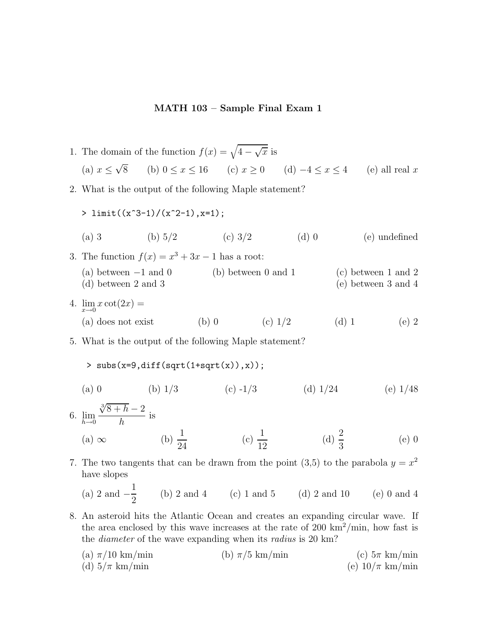## **MATH 103 – Sample Final Exam 1**

- 1. The domain of the function  $f(x) = \sqrt{4 \sqrt{x}}$  is (a)  $x \le \sqrt{8}$  (b)  $0 \le x \le 16$  (c)  $x \ge 0$  (d)  $-4 \le x \le 4$  (e) all real x 2. What is the output of the following Maple statement?  $> \limit((x^3-1)/(x^2-1),x=1);$ (a) 3 (b)  $5/2$  (c)  $3/2$  (d) 0 (e) undefined 3. The function  $f(x) = x^3 + 3x - 1$  has a root: (a) between  $-1$  and  $0$  (b) between  $0$  and  $1$  (c) between  $1$  and  $2$  (d) between  $2$  and  $3$  $(e)$  between 3 and 4 4.  $\lim_{x \to 0} x \cot(2x) =$ (a) does not exist (b) 0 (c)  $1/2$  (d) 1 (e) 2 5. What is the output of the following Maple statement?
	-

 $>$  subs(x=9,diff(sqrt(1+sqrt(x)),x));

- (a) 0 (b)  $1/3$  (c)  $-1/3$  (d)  $1/24$  (e)  $1/48$
- 6. lim  $h\rightarrow 0$  $\sqrt[3]{8+h} - 2$  $\frac{1}{h}$  is (a) ∞ (b)  $\frac{1}{24}$  (c)  $\frac{1}{12}$  (d)  $\frac{2}{3}$  $(e)$  0
- 7. The two tangents that can be drawn from the point (3,5) to the parabola  $y = x^2$ have slopes

(a) 2 and 
$$
-\frac{1}{2}
$$
 (b) 2 and 4 (c) 1 and 5 (d) 2 and 10 (e) 0 and 4

- 8. An asteroid hits the Atlantic Ocean and creates an expanding circular wave. If the area enclosed by this wave increases at the rate of 200  $\text{km}^2/\text{min}$ , how fast is the *diameter* of the wave expanding when its *radius* is 20 km?
	- (a)  $\pi/10 \text{ km/min}$  (b)  $\pi/5 \text{ km/min}$  (c)  $5\pi \text{ km/min}$ (d)  $5/\pi$  km/min (e)  $10/\pi$  km/min (e)  $10/\pi$  km/min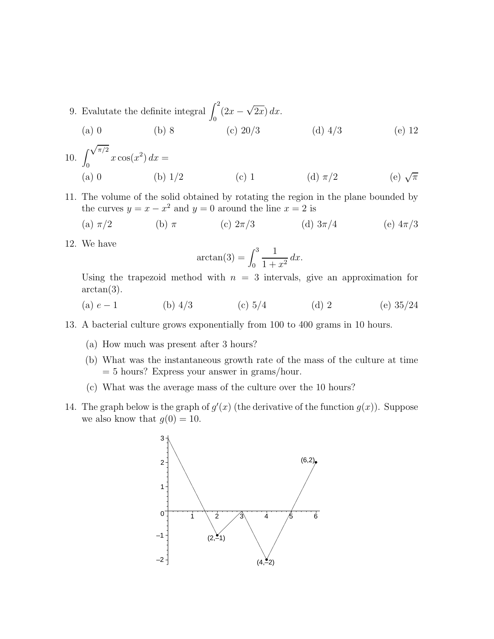- 9. Evalutate the definite integral  $\int_1^2$  $\int_0^2 (2x - \sqrt{2x}) dx.$ (a) 0 (b) 8 (c)  $20/3$  (d)  $4/3$  (e) 12
- $10.$  $\sqrt{\pi/2}$  $\int_{0}^{\sqrt{u}} x \cos(x^2) dx =$ (a) 0 (b) 1/2 (c) 1 (d)  $\pi/2$  (e)  $\sqrt{\pi}$
- 11. The volume of the solid obtained by rotating the region in the plane bounded by the curves  $y = x - x^2$  and  $y = 0$  around the line  $x = 2$  is

(a) 
$$
\pi/2
$$
 (b)  $\pi$  (c)  $2\pi/3$  (d)  $3\pi/4$  (e)  $4\pi/3$ 

12. We have

$$
\arctan(3) = \int_0^3 \frac{1}{1+x^2} \, dx.
$$

Using the trapezoid method with  $n = 3$  intervals, give an approximation for  $arctan(3)$ .

- (a)  $e-1$  (b)  $4/3$  (c)  $5/4$  (d) 2 (e)  $35/24$
- 13. A bacterial culture grows exponentially from 100 to 400 grams in 10 hours.
	- (a) How much was present after 3 hours?
	- (b) What was the instantaneous growth rate of the mass of the culture at time = 5 hours? Express your answer in grams/hour.
	- (c) What was the average mass of the culture over the 10 hours?
- 14. The graph below is the graph of  $g'(x)$  (the derivative of the function  $g(x)$ ). Suppose we also know that  $g(0) = 10$ .